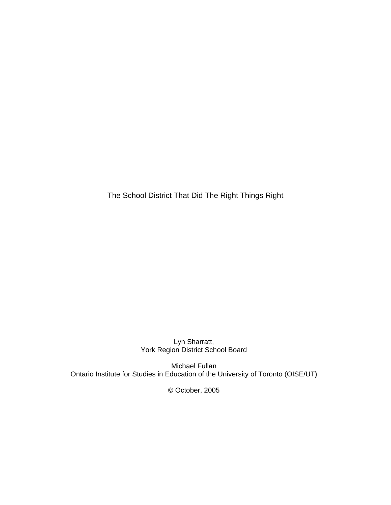The School District That Did The Right Things Right

Lyn Sharratt, York Region District School Board

Michael Fullan Ontario Institute for Studies in Education of the University of Toronto (OISE/UT)

© October, 2005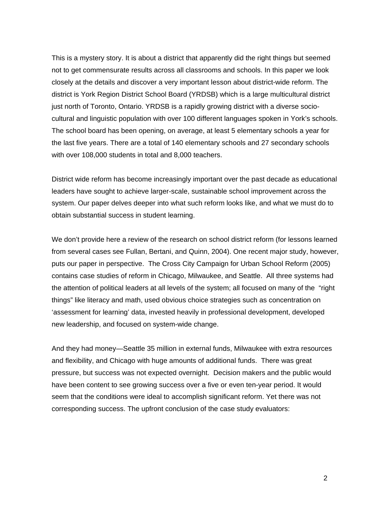This is a mystery story. It is about a district that apparently did the right things but seemed not to get commensurate results across all classrooms and schools. In this paper we look closely at the details and discover a very important lesson about district-wide reform. The district is York Region District School Board (YRDSB) which is a large multicultural district just north of Toronto, Ontario. YRDSB is a rapidly growing district with a diverse sociocultural and linguistic population with over 100 different languages spoken in York's schools. The school board has been opening, on average, at least 5 elementary schools a year for the last five years. There are a total of 140 elementary schools and 27 secondary schools with over 108,000 students in total and 8,000 teachers.

District wide reform has become increasingly important over the past decade as educational leaders have sought to achieve larger-scale, sustainable school improvement across the system. Our paper delves deeper into what such reform looks like, and what we must do to obtain substantial success in student learning.

We don't provide here a review of the research on school district reform (for lessons learned from several cases see Fullan, Bertani, and Quinn, 2004). One recent major study, however, puts our paper in perspective. The Cross City Campaign for Urban School Reform (2005) contains case studies of reform in Chicago, Milwaukee, and Seattle. All three systems had the attention of political leaders at all levels of the system; all focused on many of the "right things" like literacy and math, used obvious choice strategies such as concentration on 'assessment for learning' data, invested heavily in professional development, developed new leadership, and focused on system-wide change.

And they had money—Seattle 35 million in external funds, Milwaukee with extra resources and flexibility, and Chicago with huge amounts of additional funds. There was great pressure, but success was not expected overnight. Decision makers and the public would have been content to see growing success over a five or even ten-year period. It would seem that the conditions were ideal to accomplish significant reform. Yet there was not corresponding success. The upfront conclusion of the case study evaluators: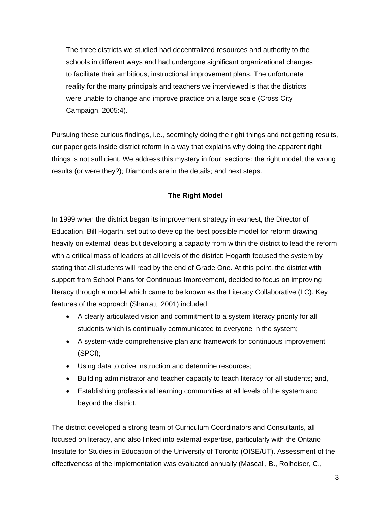The three districts we studied had decentralized resources and authority to the schools in different ways and had undergone significant organizational changes to facilitate their ambitious, instructional improvement plans. The unfortunate reality for the many principals and teachers we interviewed is that the districts were unable to change and improve practice on a large scale (Cross City Campaign, 2005:4).

Pursuing these curious findings, i.e., seemingly doing the right things and not getting results, our paper gets inside district reform in a way that explains why doing the apparent right things is not sufficient. We address this mystery in four sections: the right model; the wrong results (or were they?); Diamonds are in the details; and next steps.

## **The Right Model**

In 1999 when the district began its improvement strategy in earnest, the Director of Education, Bill Hogarth, set out to develop the best possible model for reform drawing heavily on external ideas but developing a capacity from within the district to lead the reform with a critical mass of leaders at all levels of the district: Hogarth focused the system by stating that all students will read by the end of Grade One. At this point, the district with support from School Plans for Continuous Improvement, decided to focus on improving literacy through a model which came to be known as the Literacy Collaborative (LC). Key features of the approach (Sharratt, 2001) included:

- A clearly articulated vision and commitment to a system literacy priority for all students which is continually communicated to everyone in the system;
- A system-wide comprehensive plan and framework for continuous improvement (SPCI);
- Using data to drive instruction and determine resources;
- Building administrator and teacher capacity to teach literacy for **all** students; and,
- Establishing professional learning communities at all levels of the system and beyond the district.

The district developed a strong team of Curriculum Coordinators and Consultants, all focused on literacy, and also linked into external expertise, particularly with the Ontario Institute for Studies in Education of the University of Toronto (OISE/UT). Assessment of the effectiveness of the implementation was evaluated annually (Mascall, B., Rolheiser, C.,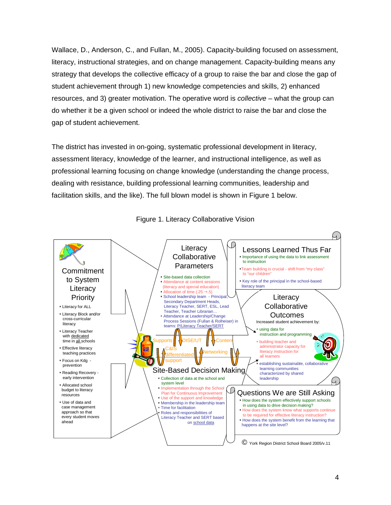Wallace, D., Anderson, C., and Fullan, M., 2005). Capacity-building focused on assessment, literacy, instructional strategies, and on change management. Capacity-building means any strategy that develops the collective efficacy of a group to raise the bar and close the gap of student achievement through 1) new knowledge competencies and skills, 2) enhanced resources, and 3) greater motivation. The operative word is *collective* – what the group can do whether it be a given school or indeed the whole district to raise the bar and close the gap of student achievement.

The district has invested in on-going, systematic professional development in literacy, assessment literacy, knowledge of the learner, and instructional intelligence, as well as professional learning focusing on change knowledge (understanding the change process, dealing with resistance, building professional learning communities, leadership and facilitation skills, and the like). The full blown model is shown in Figure 1 below.



Figure 1. Literacy Collaborative Vision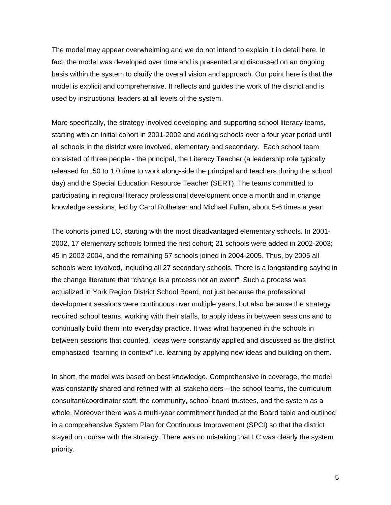The model may appear overwhelming and we do not intend to explain it in detail here. In fact, the model was developed over time and is presented and discussed on an ongoing basis within the system to clarify the overall vision and approach. Our point here is that the model is explicit and comprehensive. It reflects and guides the work of the district and is used by instructional leaders at all levels of the system.

More specifically, the strategy involved developing and supporting school literacy teams, starting with an initial cohort in 2001-2002 and adding schools over a four year period until all schools in the district were involved, elementary and secondary. Each school team consisted of three people - the principal, the Literacy Teacher (a leadership role typically released for .50 to 1.0 time to work along-side the principal and teachers during the school day) and the Special Education Resource Teacher (SERT). The teams committed to participating in regional literacy professional development once a month and in change knowledge sessions, led by Carol Rolheiser and Michael Fullan, about 5-6 times a year.

The cohorts joined LC, starting with the most disadvantaged elementary schools. In 2001- 2002, 17 elementary schools formed the first cohort; 21 schools were added in 2002-2003; 45 in 2003-2004, and the remaining 57 schools joined in 2004-2005. Thus, by 2005 all schools were involved, including all 27 secondary schools. There is a longstanding saying in the change literature that "change is a process not an event". Such a process was actualized in York Region District School Board, not just because the professional development sessions were continuous over multiple years, but also because the strategy required school teams, working with their staffs, to apply ideas in between sessions and to continually build them into everyday practice. It was what happened in the schools in between sessions that counted. Ideas were constantly applied and discussed as the district emphasized "learning in context" i.e. learning by applying new ideas and building on them.

In short, the model was based on best knowledge. Comprehensive in coverage, the model was constantly shared and refined with all stakeholders---the school teams, the curriculum consultant/coordinator staff, the community, school board trustees, and the system as a whole. Moreover there was a multi-year commitment funded at the Board table and outlined in a comprehensive System Plan for Continuous Improvement (SPCI) so that the district stayed on course with the strategy. There was no mistaking that LC was clearly the system priority.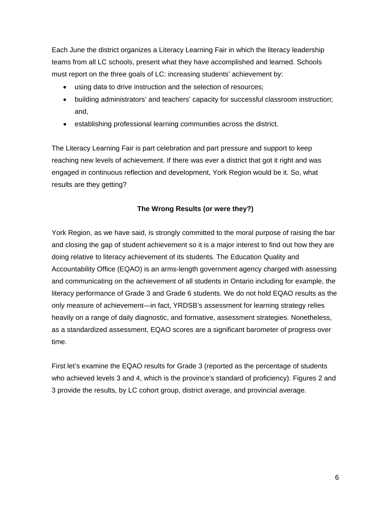Each June the district organizes a Literacy Learning Fair in which the literacy leadership teams from all LC schools, present what they have accomplished and learned. Schools must report on the three goals of LC: increasing students' achievement by:

- using data to drive instruction and the selection of resources;
- building administrators' and teachers' capacity for successful classroom instruction; and,
- establishing professional learning communities across the district.

The Literacy Learning Fair is part celebration and part pressure and support to keep reaching new levels of achievement. If there was ever a district that got it right and was engaged in continuous reflection and development, York Region would be it. So, what results are they getting?

# **The Wrong Results (or were they?)**

York Region, as we have said, is strongly committed to the moral purpose of raising the bar and closing the gap of student achievement so it is a major interest to find out how they are doing relative to literacy achievement of its students. The Education Quality and Accountability Office (EQAO) is an arms-length government agency charged with assessing and communicating on the achievement of all students in Ontario including for example, the literacy performance of Grade 3 and Grade 6 students. We do not hold EQAO results as the only measure of achievement—in fact, YRDSB's assessment for learning strategy relies heavily on a range of daily diagnostic, and formative, assessment strategies. Nonetheless, as a standardized assessment, EQAO scores are a significant barometer of progress over time.

First let's examine the EQAO results for Grade 3 (reported as the percentage of students who achieved levels 3 and 4, which is the province's standard of proficiency). Figures 2 and 3 provide the results, by LC cohort group, district average, and provincial average.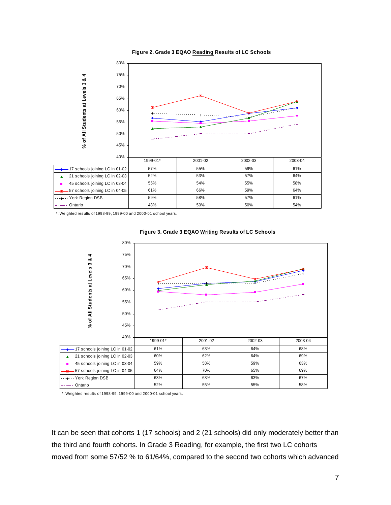



\*: Weighted results of 1998-99, 1999-00 and 2000-01 school years.



**Figure 3. Grade 3 EQAO Writing Results of LC Schools**

\*: Weighted results of 1998-99, 1999-00 and 2000-01 school years.

It can be seen that cohorts 1 (17 schools) and 2 (21 schools) did only moderately better than the third and fourth cohorts. In Grade 3 Reading, for example, the first two LC cohorts moved from some 57/52 % to 61/64%, compared to the second two cohorts which advanced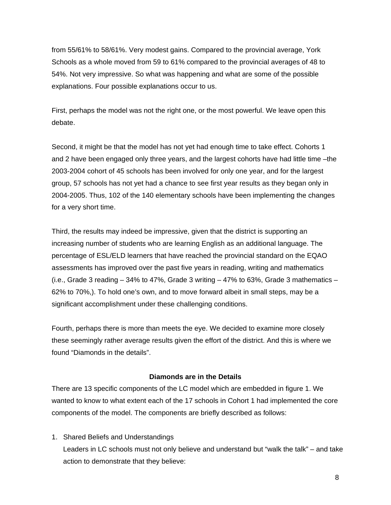from 55/61% to 58/61%. Very modest gains. Compared to the provincial average, York Schools as a whole moved from 59 to 61% compared to the provincial averages of 48 to 54%. Not very impressive. So what was happening and what are some of the possible explanations. Four possible explanations occur to us.

First, perhaps the model was not the right one, or the most powerful. We leave open this debate.

Second, it might be that the model has not yet had enough time to take effect. Cohorts 1 and 2 have been engaged only three years, and the largest cohorts have had little time –the 2003-2004 cohort of 45 schools has been involved for only one year, and for the largest group, 57 schools has not yet had a chance to see first year results as they began only in 2004-2005. Thus, 102 of the 140 elementary schools have been implementing the changes for a very short time.

Third, the results may indeed be impressive, given that the district is supporting an increasing number of students who are learning English as an additional language. The percentage of ESL/ELD learners that have reached the provincial standard on the EQAO assessments has improved over the past five years in reading, writing and mathematics (i.e., Grade 3 reading  $-34\%$  to 47%, Grade 3 writing  $-47\%$  to 63%, Grade 3 mathematics  $-$ 62% to 70%,). To hold one's own, and to move forward albeit in small steps, may be a significant accomplishment under these challenging conditions.

Fourth, perhaps there is more than meets the eye. We decided to examine more closely these seemingly rather average results given the effort of the district. And this is where we found "Diamonds in the details".

## **Diamonds are in the Details**

There are 13 specific components of the LC model which are embedded in figure 1. We wanted to know to what extent each of the 17 schools in Cohort 1 had implemented the core components of the model. The components are briefly described as follows:

1. Shared Beliefs and Understandings

Leaders in LC schools must not only believe and understand but "walk the talk" – and take action to demonstrate that they believe: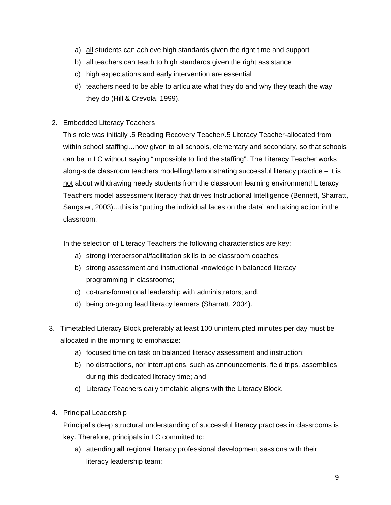- a) all students can achieve high standards given the right time and support
- b) all teachers can teach to high standards given the right assistance
- c) high expectations and early intervention are essential
- d) teachers need to be able to articulate what they do and why they teach the way they do (Hill & Crevola, 1999).
- 2. Embedded Literacy Teachers

This role was initially .5 Reading Recovery Teacher/.5 Literacy Teacher-allocated from within school staffing...now given to all schools, elementary and secondary, so that schools can be in LC without saying "impossible to find the staffing". The Literacy Teacher works along-side classroom teachers modelling/demonstrating successful literacy practice – it is not about withdrawing needy students from the classroom learning environment! Literacy Teachers model assessment literacy that drives Instructional Intelligence (Bennett, Sharratt, Sangster, 2003)…this is "putting the individual faces on the data" and taking action in the classroom.

In the selection of Literacy Teachers the following characteristics are key:

- a) strong interpersonal/facilitation skills to be classroom coaches;
- b) strong assessment and instructional knowledge in balanced literacy programming in classrooms;
- c) co-transformational leadership with administrators; and,
- d) being on-going lead literacy learners (Sharratt, 2004).
- 3. Timetabled Literacy Block preferably at least 100 uninterrupted minutes per day must be allocated in the morning to emphasize:
	- a) focused time on task on balanced literacy assessment and instruction;
	- b) no distractions, nor interruptions, such as announcements, field trips, assemblies during this dedicated literacy time; and
	- c) Literacy Teachers daily timetable aligns with the Literacy Block.
- 4. Principal Leadership

Principal's deep structural understanding of successful literacy practices in classrooms is key. Therefore, principals in LC committed to:

a) attending **all** regional literacy professional development sessions with their literacy leadership team;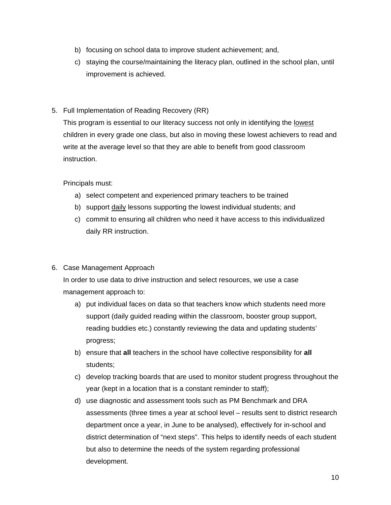- b) focusing on school data to improve student achievement; and,
- c) staying the course/maintaining the literacy plan, outlined in the school plan, until improvement is achieved.
- 5. Full Implementation of Reading Recovery (RR)

This program is essential to our literacy success not only in identifying the **lowest** children in every grade one class, but also in moving these lowest achievers to read and write at the average level so that they are able to benefit from good classroom instruction.

Principals must:

- a) select competent and experienced primary teachers to be trained
- b) support daily lessons supporting the lowest individual students; and
- c) commit to ensuring all children who need it have access to this individualized daily RR instruction.

# 6. Case Management Approach

In order to use data to drive instruction and select resources, we use a case management approach to:

- a) put individual faces on data so that teachers know which students need more support (daily guided reading within the classroom, booster group support, reading buddies etc.) constantly reviewing the data and updating students' progress;
- b) ensure that **all** teachers in the school have collective responsibility for **all**  students;
- c) develop tracking boards that are used to monitor student progress throughout the year (kept in a location that is a constant reminder to staff);
- d) use diagnostic and assessment tools such as PM Benchmark and DRA assessments (three times a year at school level – results sent to district research department once a year, in June to be analysed), effectively for in-school and district determination of "next steps". This helps to identify needs of each student but also to determine the needs of the system regarding professional development.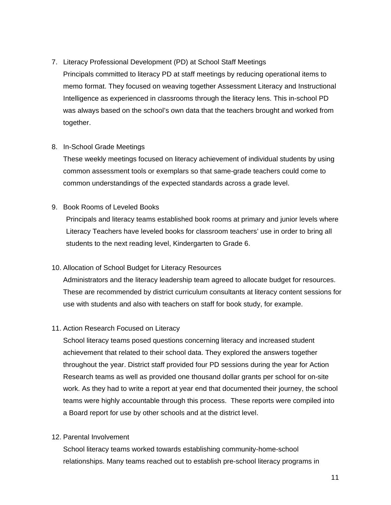# 7. Literacy Professional Development (PD) at School Staff Meetings

Principals committed to literacy PD at staff meetings by reducing operational items to memo format. They focused on weaving together Assessment Literacy and Instructional Intelligence as experienced in classrooms through the literacy lens. This in-school PD was always based on the school's own data that the teachers brought and worked from together.

# 8. In-School Grade Meetings

These weekly meetings focused on literacy achievement of individual students by using common assessment tools or exemplars so that same-grade teachers could come to common understandings of the expected standards across a grade level.

# 9. Book Rooms of Leveled Books

Principals and literacy teams established book rooms at primary and junior levels where Literacy Teachers have leveled books for classroom teachers' use in order to bring all students to the next reading level, Kindergarten to Grade 6.

# 10. Allocation of School Budget for Literacy Resources

Administrators and the literacy leadership team agreed to allocate budget for resources. These are recommended by district curriculum consultants at literacy content sessions for use with students and also with teachers on staff for book study, for example.

# 11. Action Research Focused on Literacy

School literacy teams posed questions concerning literacy and increased student achievement that related to their school data. They explored the answers together throughout the year. District staff provided four PD sessions during the year for Action Research teams as well as provided one thousand dollar grants per school for on-site work. As they had to write a report at year end that documented their journey, the school teams were highly accountable through this process. These reports were compiled into a Board report for use by other schools and at the district level.

## 12. Parental Involvement

School literacy teams worked towards establishing community-home-school relationships. Many teams reached out to establish pre-school literacy programs in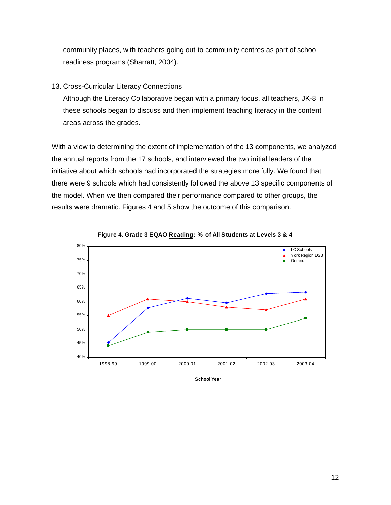community places, with teachers going out to community centres as part of school readiness programs (Sharratt, 2004).

### 13. Cross-Curricular Literacy Connections

Although the Literacy Collaborative began with a primary focus, all teachers, JK-8 in these schools began to discuss and then implement teaching literacy in the content areas across the grades.

With a view to determining the extent of implementation of the 13 components, we analyzed the annual reports from the 17 schools, and interviewed the two initial leaders of the initiative about which schools had incorporated the strategies more fully. We found that there were 9 schools which had consistently followed the above 13 specific components of the model. When we then compared their performance compared to other groups, the results were dramatic. Figures 4 and 5 show the outcome of this comparison.





**School Year**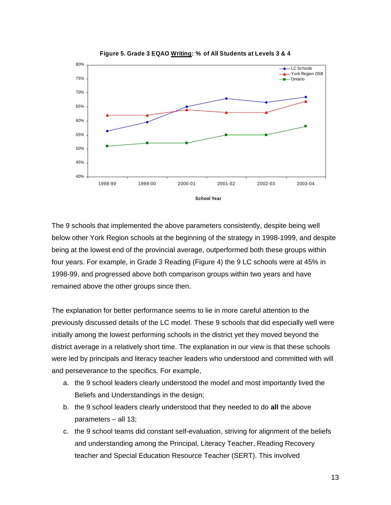

**Figure 5. Grade 3 EQAO Writing: % of All Students at Levels 3 & 4**

The 9 schools that implemented the above parameters consistently, despite being well below other York Region schools at the beginning of the strategy in 1998-1999, and despite being at the lowest end of the provincial average, outperformed both these groups within four years. For example, in Grade 3 Reading (Figure 4) the 9 LC schools were at 45% in 1998-99, and progressed above both comparison groups within two years and have remained above the other groups since then.

The explanation for better performance seems to lie in more careful attention to the previously discussed details of the LC model. These 9 schools that did especially well were initially among the lowest performing schools in the district yet they moved beyond the district average in a relatively short time. The explanation in our view is that these schools were led by principals and literacy teacher leaders who understood and committed with will and perseverance to the specifics. For example,

- a. the 9 school leaders clearly understood the model and most importantly lived the Beliefs and Understandings in the design;
- b. the 9 school leaders clearly understood that they needed to do **all** the above parameters – all 13;
- c. the 9 school teams did constant self-evaluation, striving for alignment of the beliefs and understanding among the Principal, Literacy Teacher, Reading Recovery teacher and Special Education Resource Teacher (SERT). This involved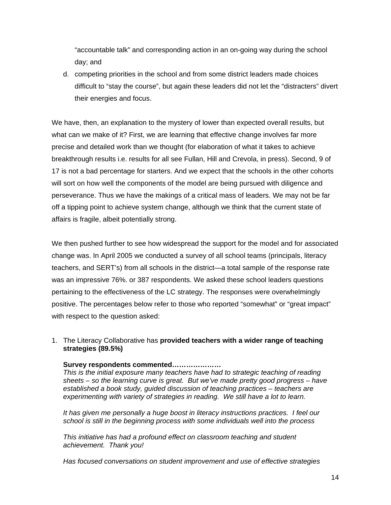"accountable talk" and corresponding action in an on-going way during the school day; and

d. competing priorities in the school and from some district leaders made choices difficult to "stay the course", but again these leaders did not let the "distracters" divert their energies and focus.

We have, then, an explanation to the mystery of lower than expected overall results, but what can we make of it? First, we are learning that effective change involves far more precise and detailed work than we thought (for elaboration of what it takes to achieve breakthrough results i.e. results for all see Fullan, Hill and Crevola, in press). Second, 9 of 17 is not a bad percentage for starters. And we expect that the schools in the other cohorts will sort on how well the components of the model are being pursued with diligence and perseverance. Thus we have the makings of a critical mass of leaders. We may not be far off a tipping point to achieve system change, although we think that the current state of affairs is fragile, albeit potentially strong.

We then pushed further to see how widespread the support for the model and for associated change was. In April 2005 we conducted a survey of all school teams (principals, literacy teachers, and SERT's) from all schools in the district—a total sample of the response rate was an impressive 76%. or 387 respondents. We asked these school leaders questions pertaining to the effectiveness of the LC strategy. The responses were overwhelmingly positive. The percentages below refer to those who reported "somewhat" or "great impact" with respect to the question asked:

1. The Literacy Collaborative has **provided teachers with a wider range of teaching strategies (89.5%)** 

## **Survey respondents commented…………………**

*This is the initial exposure many teachers have had to strategic teaching of reading sheets – so the learning curve is great. But we've made pretty good progress – have established a book study, guided discussion of teaching practices – teachers are experimenting with variety of strategies in reading. We still have a lot to learn.* 

*It has given me personally a huge boost in literacy instructions practices. I feel our school is still in the beginning process with some individuals well into the process* 

*This initiative has had a profound effect on classroom teaching and student achievement. Thank you!* 

*Has focused conversations on student improvement and use of effective strategies*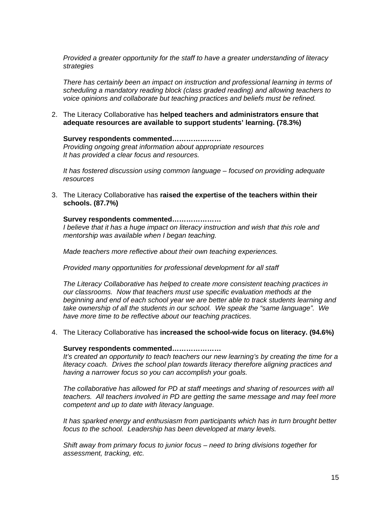*Provided a greater opportunity for the staff to have a greater understanding of literacy strategies* 

*There has certainly been an impact on instruction and professional learning in terms of scheduling a mandatory reading block (class graded reading) and allowing teachers to voice opinions and collaborate but teaching practices and beliefs must be refined.* 

2. The Literacy Collaborative has **helped teachers and administrators ensure that adequate resources are available to support students' learning. (78.3%)** 

**Survey respondents commented…………………**  *Providing ongoing great information about appropriate resources It has provided a clear focus and resources.* 

*It has fostered discussion using common language – focused on providing adequate resources* 

3. The Literacy Collaborative has **raised the expertise of the teachers within their schools. (87.7%)** 

#### **Survey respondents commented…………………**

*I believe that it has a huge impact on literacy instruction and wish that this role and mentorship was available when I began teaching.* 

*Made teachers more reflective about their own teaching experiences.* 

*Provided many opportunities for professional development for all staff* 

*The Literacy Collaborative has helped to create more consistent teaching practices in our classrooms. Now that teachers must use specific evaluation methods at the beginning and end of each school year we are better able to track students learning and take ownership of all the students in our school. We speak the "same language". We have more time to be reflective about our teaching practices.* 

### 4. The Literacy Collaborative has **increased the school-wide focus on literacy. (94.6%)**

#### **Survey respondents commented…………………**

*It's created an opportunity to teach teachers our new learning's by creating the time for a literacy coach. Drives the school plan towards literacy therefore aligning practices and having a narrower focus so you can accomplish your goals.* 

*The collaborative has allowed for PD at staff meetings and sharing of resources with all teachers. All teachers involved in PD are getting the same message and may feel more competent and up to date with literacy language.* 

*It has sparked energy and enthusiasm from participants which has in turn brought better focus to the school. Leadership has been developed at many levels.* 

*Shift away from primary focus to junior focus – need to bring divisions together for assessment, tracking, etc.*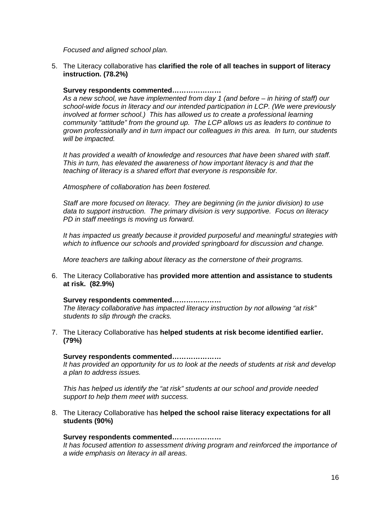*Focused and aligned school plan.* 

5. The Literacy collaborative has **clarified the role of all teaches in support of literacy instruction. (78.2%)** 

## **Survey respondents commented…………………**

*As a new school, we have implemented from day 1 (and before – in hiring of staff) our school-wide focus in literacy and our intended participation in LCP. (We were previously involved at former school.) This has allowed us to create a professional learning community "attitude" from the ground up. The LCP allows us as leaders to continue to grown professionally and in turn impact our colleagues in this area. In turn, our students will be impacted.* 

*It has provided a wealth of knowledge and resources that have been shared with staff. This in turn, has elevated the awareness of how important literacy is and that the teaching of literacy is a shared effort that everyone is responsible for.* 

*Atmosphere of collaboration has been fostered.* 

*Staff are more focused on literacy. They are beginning (in the junior division) to use data to support instruction. The primary division is very supportive. Focus on literacy PD in staff meetings is moving us forward.* 

*It has impacted us greatly because it provided purposeful and meaningful strategies with which to influence our schools and provided springboard for discussion and change.* 

*More teachers are talking about literacy as the cornerstone of their programs.* 

6. The Literacy Collaborative has **provided more attention and assistance to students at risk. (82.9%)** 

### **Survey respondents commented…………………**

*The literacy collaborative has impacted literacy instruction by not allowing "at risk" students to slip through the cracks.* 

7. The Literacy Collaborative has **helped students at risk become identified earlier. (79%)** 

### **Survey respondents commented…………………**

*It has provided an opportunity for us to look at the needs of students at risk and develop a plan to address issues.* 

*This has helped us identify the "at risk" students at our school and provide needed support to help them meet with success.* 

8. The Literacy Collaborative has **helped the school raise literacy expectations for all students (90%)** 

## **Survey respondents commented…………………**

*It has focused attention to assessment driving program and reinforced the importance of a wide emphasis on literacy in all areas.*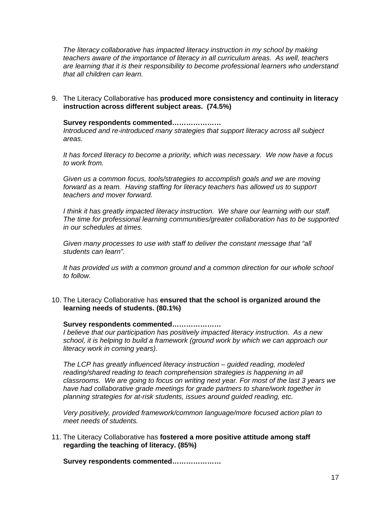*The literacy collaborative has impacted literacy instruction in my school by making teachers aware of the importance of literacy in all curriculum areas. As well, teachers are learning that it is their responsibility to become professional learners who understand that all children can learn.* 

9. The Literacy Collaborative has **produced more consistency and continuity in literacy instruction across different subject areas. (74.5%)** 

**Survey respondents commented…………………** 

*Introduced and re-introduced many strategies that support literacy across all subject areas.* 

*It has forced literacy to become a priority, which was necessary. We now have a focus to work from.* 

*Given us a common focus, tools/strategies to accomplish goals and we are moving forward as a team. Having staffing for literacy teachers has allowed us to support teachers and mover forward.* 

*I think it has greatly impacted literacy instruction. We share our learning with our staff. The time for professional learning communities/greater collaboration has to be supported in our schedules at times.* 

*Given many processes to use with staff to deliver the constant message that "all students can learn".* 

*It has provided us with a common ground and a common direction for our whole school to follow.* 

10. The Literacy Collaborative has **ensured that the school is organized around the learning needs of students. (80.1%)** 

**Survey respondents commented…………………** 

*I believe that our participation has positively impacted literacy instruction. As a new school, it is helping to build a framework (ground work by which we can approach our literacy work in coming years).* 

*The LCP has greatly influenced literacy instruction – guided reading, modeled reading/shared reading to teach comprehension strategies is happening in all classrooms. We are going to focus on writing next year. For most of the last 3 years we have had collaborative grade meetings for grade partners to share/work together in planning strategies for at-risk students, issues around guided reading, etc.* 

*Very positively, provided framework/common language/more focused action plan to meet needs of students.* 

11. The Literacy Collaborative has **fostered a more positive attitude among staff regarding the teaching of literacy. (85%)** 

**Survey respondents commented…………………**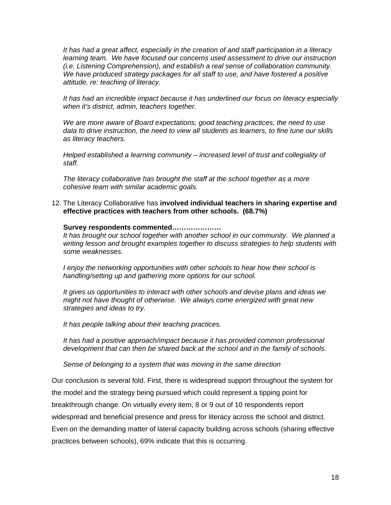*It has had a great affect, especially in the creation of and staff participation in a literacy learning team. We have focused our concerns used assessment to drive our instruction (i.e. Listening Comprehension), and establish a real sense of collaboration community. We have produced strategy packages for all staff to use, and have fostered a positive attitude, re: teaching of literacy.* 

*It has had an incredible impact because it has underlined our focus on literacy especially when it's district, admin, teachers together.* 

*We are more aware of Board expectations, good teaching practices, the need to use data to drive instruction, the need to view all students as learners, to fine tune our skills as literacy teachers.* 

*Helped established a learning community – increased level of trust and collegiality of staff.* 

*The literacy collaborative has brought the staff at the school together as a more cohesive team with similar academic goals.* 

12. The Literacy Collaborative has **involved individual teachers in sharing expertise and effective practices with teachers from other schools. (68.7%)** 

## **Survey respondents commented…………………**

*It has brought our school together with another school in our community. We planned a writing lesson and brought examples together to discuss strategies to help students with some weaknesses.* 

*I enjoy the networking opportunities with other schools to hear how their school is handling/setting up and gathering more options for our school.* 

*It gives us opportunities to interact with other schools and devise plans and ideas we might not have thought of otherwise. We always come energized with great new strategies and ideas to try.* 

*It has people talking about their teaching practices.* 

*It has had a positive approach/impact because it has provided common professional development that can then be shared back at the school and in the family of schools.* 

*Sense of belonging to a system that was moving in the same direction* 

Our conclusion is several fold. First, there is widespread support throughout the system for the model and the strategy being pursued which could represent a tipping point for breakthrough change. On virtually every item, 8 or 9 out of 10 respondents report widespread and beneficial presence and press for literacy across the school and district. Even on the demanding matter of lateral capacity building across schools (sharing effective practices between schools), 69% indicate that this is occurring.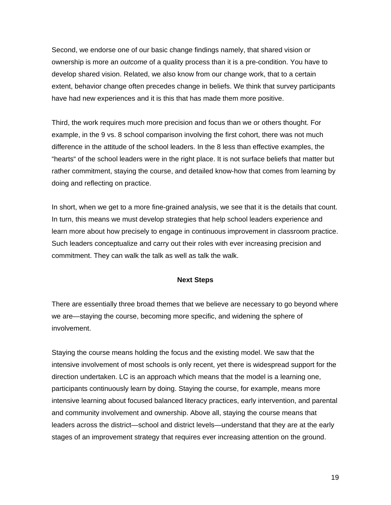Second, we endorse one of our basic change findings namely, that shared vision or ownership is more an *outcome* of a quality process than it is a pre-condition. You have to develop shared vision. Related, we also know from our change work, that to a certain extent, behavior change often precedes change in beliefs. We think that survey participants have had new experiences and it is this that has made them more positive.

Third, the work requires much more precision and focus than we or others thought. For example, in the 9 vs. 8 school comparison involving the first cohort, there was not much difference in the attitude of the school leaders. In the 8 less than effective examples, the "hearts" of the school leaders were in the right place. It is not surface beliefs that matter but rather commitment, staying the course, and detailed know-how that comes from learning by doing and reflecting on practice.

In short, when we get to a more fine-grained analysis, we see that it is the details that count. In turn, this means we must develop strategies that help school leaders experience and learn more about how precisely to engage in continuous improvement in classroom practice. Such leaders conceptualize and carry out their roles with ever increasing precision and commitment. They can walk the talk as well as talk the walk.

### **Next Steps**

There are essentially three broad themes that we believe are necessary to go beyond where we are—staying the course, becoming more specific, and widening the sphere of involvement.

Staying the course means holding the focus and the existing model. We saw that the intensive involvement of most schools is only recent, yet there is widespread support for the direction undertaken. LC is an approach which means that the model is a learning one, participants continuously learn by doing. Staying the course, for example, means more intensive learning about focused balanced literacy practices, early intervention, and parental and community involvement and ownership. Above all, staying the course means that leaders across the district—school and district levels—understand that they are at the early stages of an improvement strategy that requires ever increasing attention on the ground.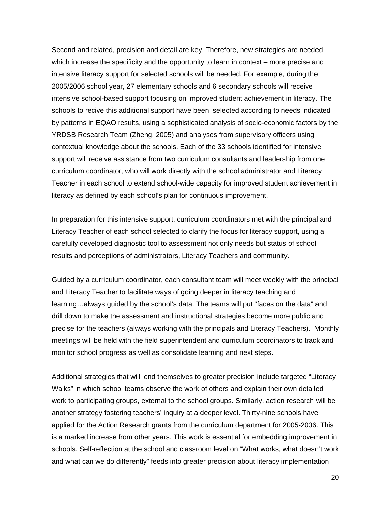Second and related, precision and detail are key. Therefore, new strategies are needed which increase the specificity and the opportunity to learn in context – more precise and intensive literacy support for selected schools will be needed. For example, during the 2005/2006 school year, 27 elementary schools and 6 secondary schools will receive intensive school-based support focusing on improved student achievement in literacy. The schools to recive this additional support have been selected according to needs indicated by patterns in EQAO results, using a sophisticated analysis of socio-economic factors by the YRDSB Research Team (Zheng, 2005) and analyses from supervisory officers using contextual knowledge about the schools. Each of the 33 schools identified for intensive support will receive assistance from two curriculum consultants and leadership from one curriculum coordinator, who will work directly with the school administrator and Literacy Teacher in each school to extend school-wide capacity for improved student achievement in literacy as defined by each school's plan for continuous improvement.

In preparation for this intensive support, curriculum coordinators met with the principal and Literacy Teacher of each school selected to clarify the focus for literacy support, using a carefully developed diagnostic tool to assessment not only needs but status of school results and perceptions of administrators, Literacy Teachers and community.

Guided by a curriculum coordinator, each consultant team will meet weekly with the principal and Literacy Teacher to facilitate ways of going deeper in literacy teaching and learning…always guided by the school's data. The teams will put "faces on the data" and drill down to make the assessment and instructional strategies become more public and precise for the teachers (always working with the principals and Literacy Teachers). Monthly meetings will be held with the field superintendent and curriculum coordinators to track and monitor school progress as well as consolidate learning and next steps.

Additional strategies that will lend themselves to greater precision include targeted "Literacy Walks" in which school teams observe the work of others and explain their own detailed work to participating groups, external to the school groups. Similarly, action research will be another strategy fostering teachers' inquiry at a deeper level. Thirty-nine schools have applied for the Action Research grants from the curriculum department for 2005-2006. This is a marked increase from other years. This work is essential for embedding improvement in schools. Self-reflection at the school and classroom level on "What works, what doesn't work and what can we do differently" feeds into greater precision about literacy implementation

20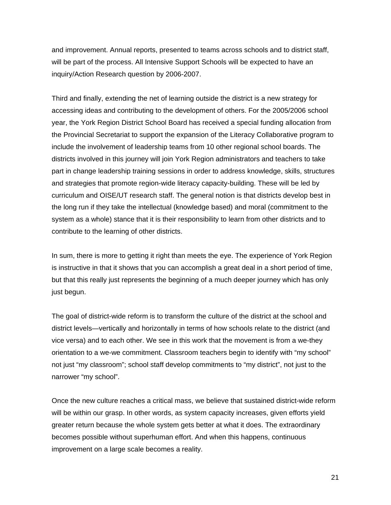and improvement. Annual reports, presented to teams across schools and to district staff, will be part of the process. All Intensive Support Schools will be expected to have an inquiry/Action Research question by 2006-2007.

Third and finally, extending the net of learning outside the district is a new strategy for accessing ideas and contributing to the development of others. For the 2005/2006 school year, the York Region District School Board has received a special funding allocation from the Provincial Secretariat to support the expansion of the Literacy Collaborative program to include the involvement of leadership teams from 10 other regional school boards. The districts involved in this journey will join York Region administrators and teachers to take part in change leadership training sessions in order to address knowledge, skills, structures and strategies that promote region-wide literacy capacity-building. These will be led by curriculum and OISE/UT research staff. The general notion is that districts develop best in the long run if they take the intellectual (knowledge based) and moral (commitment to the system as a whole) stance that it is their responsibility to learn from other districts and to contribute to the learning of other districts.

In sum, there is more to getting it right than meets the eye. The experience of York Region is instructive in that it shows that you can accomplish a great deal in a short period of time, but that this really just represents the beginning of a much deeper journey which has only just begun.

The goal of district-wide reform is to transform the culture of the district at the school and district levels—vertically and horizontally in terms of how schools relate to the district (and vice versa) and to each other. We see in this work that the movement is from a we-they orientation to a we-we commitment. Classroom teachers begin to identify with "my school" not just "my classroom"; school staff develop commitments to "my district", not just to the narrower "my school".

Once the new culture reaches a critical mass, we believe that sustained district-wide reform will be within our grasp. In other words, as system capacity increases, given efforts yield greater return because the whole system gets better at what it does. The extraordinary becomes possible without superhuman effort. And when this happens, continuous improvement on a large scale becomes a reality.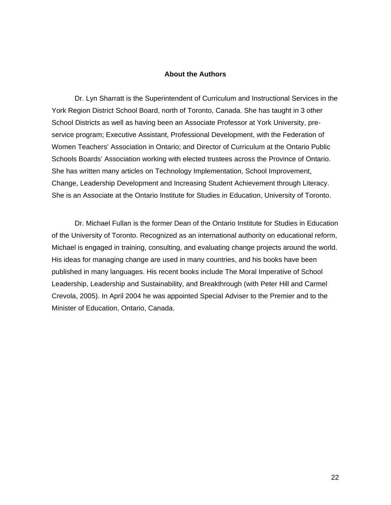### **About the Authors**

 Dr. Lyn Sharratt is the Superintendent of Curriculum and Instructional Services in the York Region District School Board, north of Toronto, Canada. She has taught in 3 other School Districts as well as having been an Associate Professor at York University, preservice program; Executive Assistant, Professional Development, with the Federation of Women Teachers' Association in Ontario; and Director of Curriculum at the Ontario Public Schools Boards' Association working with elected trustees across the Province of Ontario. She has written many articles on Technology Implementation, School Improvement, Change, Leadership Development and Increasing Student Achievement through Literacy. She is an Associate at the Ontario Institute for Studies in Education, University of Toronto.

 Dr. Michael Fullan is the former Dean of the Ontario Institute for Studies in Education of the University of Toronto. Recognized as an international authority on educational reform, Michael is engaged in training, consulting, and evaluating change projects around the world. His ideas for managing change are used in many countries, and his books have been published in many languages. His recent books include The Moral Imperative of School Leadership, Leadership and Sustainability, and Breakthrough (with Peter Hill and Carmel Crevola, 2005). In April 2004 he was appointed Special Adviser to the Premier and to the Minister of Education, Ontario, Canada.